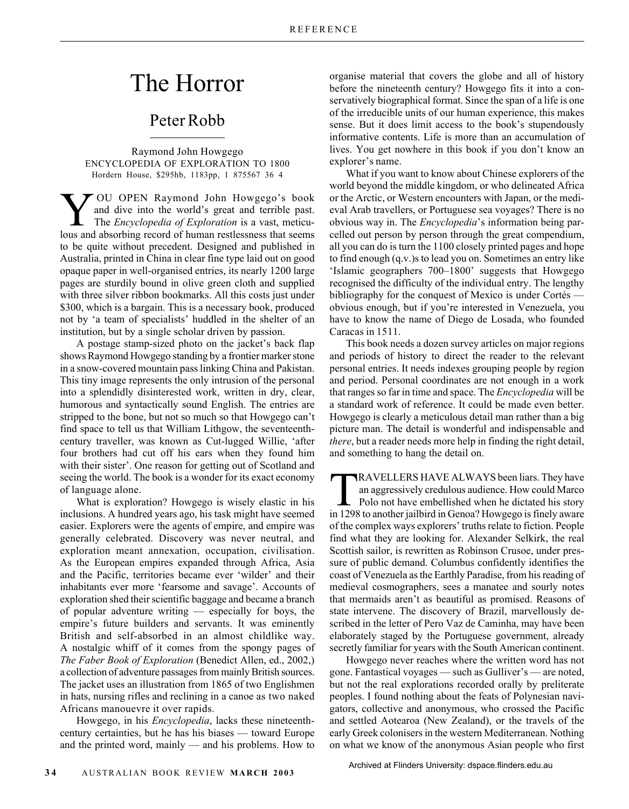## The Horror

## Peter Robb

Raymond John Howgego ENCYCLOPEDIA OF EXPLORATION TO 1800 Hordern House, \$295hb, 1183pp, 1 875567 36 4

**Y** OU OPEN Raymond John Howgego's book<br>
The *Encyclopedia of Exploration* is a vast, meticu-<br>
lows and absorbing record of human restlessness that seems and dive into the world's great and terrible past. lous and absorbing record of human restlessness that seems to be quite without precedent. Designed and published in Australia, printed in China in clear fine type laid out on good opaque paper in well-organised entries, its nearly 1200 large pages are sturdily bound in olive green cloth and supplied with three silver ribbon bookmarks. All this costs just under \$300, which is a bargain. This is a necessary book, produced not by 'a team of specialists' huddled in the shelter of an institution, but by a single scholar driven by passion.

A postage stamp-sized photo on the jacket's back flap shows Raymond Howgego standing by a frontier marker stone in a snow-covered mountain pass linking China and Pakistan. This tiny image represents the only intrusion of the personal into a splendidly disinterested work, written in dry, clear, humorous and syntactically sound English. The entries are stripped to the bone, but not so much so that Howgego can't find space to tell us that William Lithgow, the seventeenthcentury traveller, was known as Cut-lugged Willie, 'after four brothers had cut off his ears when they found him with their sister'. One reason for getting out of Scotland and seeing the world. The book is a wonder for its exact economy of language alone.

What is exploration? Howgego is wisely elastic in his inclusions. A hundred years ago, his task might have seemed easier. Explorers were the agents of empire, and empire was generally celebrated. Discovery was never neutral, and exploration meant annexation, occupation, civilisation. As the European empires expanded through Africa, Asia and the Pacific, territories became ever 'wilder' and their inhabitants ever more 'fearsome and savage'. Accounts of exploration shed their scientific baggage and became a branch of popular adventure writing — especially for boys, the empire's future builders and servants. It was eminently British and self-absorbed in an almost childlike way. A nostalgic whiff of it comes from the spongy pages of *The Faber Book of Exploration* (Benedict Allen, ed., 2002,) a collection of adventure passages from mainly British sources. The jacket uses an illustration from 1865 of two Englishmen in hats, nursing rifles and reclining in a canoe as two naked Africans manouevre it over rapids.

Howgego, in his *Encyclopedia*, lacks these nineteenthcentury certainties, but he has his biases — toward Europe and the printed word, mainly — and his problems. How to

organise material that covers the globe and all of history before the nineteenth century? Howgego fits it into a conservatively biographical format. Since the span of a life is one of the irreducible units of our human experience, this makes sense. But it does limit access to the book's stupendously informative contents. Life is more than an accumulation of lives. You get nowhere in this book if you don't know an explorer's name.

What if you want to know about Chinese explorers of the world beyond the middle kingdom, or who delineated Africa or the Arctic, or Western encounters with Japan, or the medieval Arab travellers, or Portuguese sea voyages? There is no obvious way in. The *Encyclopedia*'s information being parcelled out person by person through the great compendium, all you can do is turn the 1100 closely printed pages and hope to find enough (q.v.)s to lead you on. Sometimes an entry like 'Islamic geographers 700–1800' suggests that Howgego recognised the difficulty of the individual entry. The lengthy bibliography for the conquest of Mexico is under Cortés obvious enough, but if you're interested in Venezuela, you have to know the name of Diego de Losada, who founded Caracas in 1511.

This book needs a dozen survey articles on major regions and periods of history to direct the reader to the relevant personal entries. It needs indexes grouping people by region and period. Personal coordinates are not enough in a work that ranges so far in time and space. The *Encyclopedia* will be a standard work of reference. It could be made even better. Howgego is clearly a meticulous detail man rather than a big picture man. The detail is wonderful and indispensable and *there*, but a reader needs more help in finding the right detail, and something to hang the detail on.

TRAVELLERS HAVE ALWAYS been liars. They have an aggressively credulous audience. How could Marco Polo not have embellished when he dictated his story in 1298 to another jailbird in Genoa? Howgego is finely aware of the complex ways explorers' truths relate to fiction. People find what they are looking for. Alexander Selkirk, the real Scottish sailor, is rewritten as Robinson Crusoe, under pressure of public demand. Columbus confidently identifies the coast of Venezuela as the Earthly Paradise, from his reading of medieval cosmographers, sees a manatee and sourly notes that mermaids aren't as beautiful as promised. Reasons of state intervene. The discovery of Brazil, marvellously described in the letter of Pero Vaz de Caminha, may have been elaborately staged by the Portuguese government, already secretly familiar for years with the South American continent.

Howgego never reaches where the written word has not gone. Fantastical voyages — such as Gulliver's — are noted, but not the real explorations recorded orally by preliterate peoples. I found nothing about the feats of Polynesian navigators, collective and anonymous, who crossed the Pacific and settled Aotearoa (New Zealand), or the travels of the early Greek colonisers in the western Mediterranean. Nothing on what we know of the anonymous Asian people who first